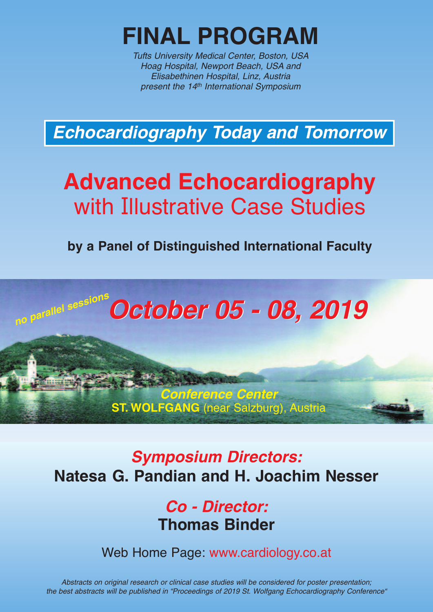

*Tufts University Medical Center, Boston, USA Hoag Hospital, Newport Beach, USA and Elisabethinen Hospital, Linz, Austria present the 14th International Symposium*

*Echocardiography Today and Tomorrow*

# **Advanced Echocardiography** with Illustrative Case Studies

**by a Panel of Distinguished International Faculty**



# *Symposium Directors:* **Natesa G. Pandian and H. Joachim Nesser**

*Conference Center* **ST. WOLFGANG** (near Salzburg), Austria

> *Co - Director:* **Thomas Binder**

Web Home Page: www.cardiology.co.at

*Abstracts on original research or clinical case studies will be considered for poster presentation; the best abstracts will be published in "Proceedings of 2019 St. Wolfgang Echocardiography Conference"*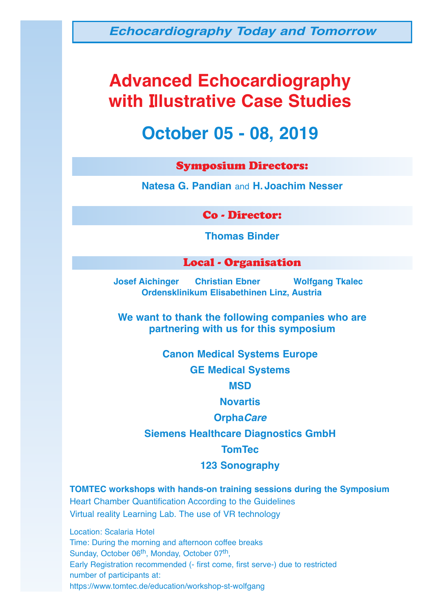*Echocardiography Today and Tomorrow*

# **Advanced Echocardiography with Illustrative Case Studies**

# **October 05 - 08, 2019**

#### Symposium Directors:

**Natesa G. Pandian** and **H.Joachim Nesser**

Co - Director:

**Thomas Binder**

#### Local - Organisation

**Josef Aichinger Christian Ebner Wolfgang Tkalec Ordensklinikum Elisabethinen Linz, Austria**

**We want to thank the following companies who are partnering with us for this symposium**

**Canon Medical Systems Europe**

**GE Medical Systems**

**MSD**

**Novartis**

#### **Orpha***Care*

**Siemens Healthcare Diagnostics GmbH**

**TomTec**

**123 Sonography**

**TOMTEC workshops with hands-on training sessions during the Symposium** Heart Chamber Quantification According to the Guidelines Virtual reality Learning Lab. The use of VR technology

Location: Scalaria Hotel Time: During the morning and afternoon coffee breaks Sunday, October 06<sup>th</sup>, Monday, October 07<sup>th</sup>, Early Registration recommended (- first come, first serve-) due to restricted number of participants at: https://www.tomtec.de/education/workshop-st-wolfgang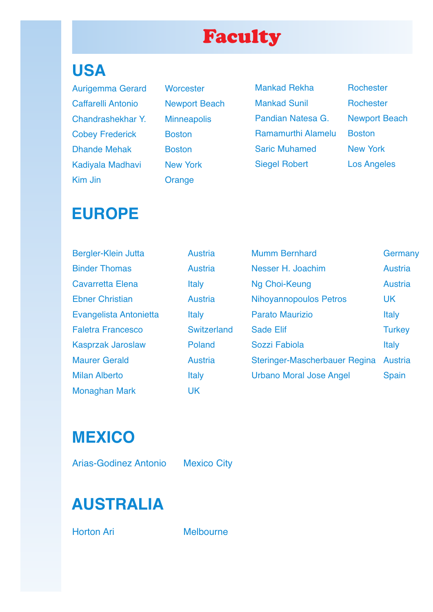# Faculty

# **USA**

Aurigemma Gerard Worcester Caffarelli Antonio Newport Beach Chandrashekhar Y. Minneapolis Cobey Frederick Boston Dhande Mehak Boston Kadiyala Madhavi New York Kim Jin **Orange** 

Mankad Rekha<br>
Rochester Mankad Sunil Rochester Pandian Natesa G. Newport Beach Ramamurthi Alamelu Boston Saric Muhamed New York Siegel Robert Los Angeles

# **EUROPE**

| Bergler-Klein Jutta      | <b>Austria</b> | <b>Mumm Bernhard</b>           | Germany        |
|--------------------------|----------------|--------------------------------|----------------|
| <b>Binder Thomas</b>     | <b>Austria</b> | Nesser H. Joachim              | <b>Austria</b> |
| <b>Cavarretta Elena</b>  | <b>Italy</b>   | Ng Choi-Keung                  | <b>Austria</b> |
| <b>Ebner Christian</b>   | <b>Austria</b> | <b>Nihoyannopoulos Petros</b>  | <b>UK</b>      |
| Evangelista Antonietta   | <b>Italy</b>   | <b>Parato Maurizio</b>         | <b>Italy</b>   |
| <b>Faletra Francesco</b> | Switzerland    | <b>Sade Elif</b>               | <b>Turkey</b>  |
| <b>Kasprzak Jaroslaw</b> | Poland         | Sozzi Fabiola                  | <b>Italy</b>   |
| <b>Maurer Gerald</b>     | <b>Austria</b> | Steringer-Mascherbauer Regina  | <b>Austria</b> |
| <b>Milan Alberto</b>     | <b>Italy</b>   | <b>Urbano Moral Jose Angel</b> | <b>Spain</b>   |
| <b>Monaghan Mark</b>     | <b>UK</b>      |                                |                |

**MEXICO**

Arias-Godinez Antonio Mexico City

# **AUSTRALIA**

Horton Ari Melbourne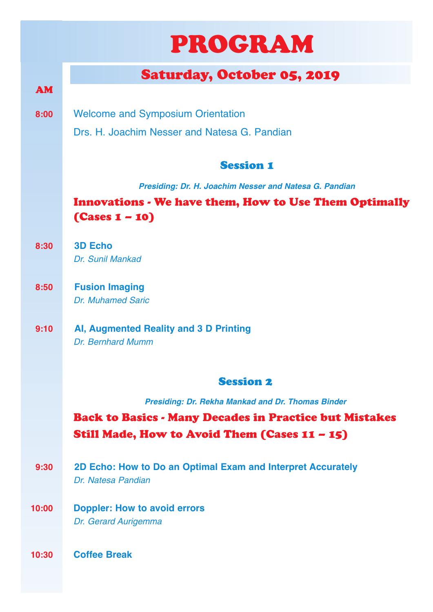# PROGRAM

# Saturday, October 05, 2019

**8:00** Welcome and Symposium Orientation

Drs. H. Joachim Nesser and Natesa G. Pandian

## Session 1

*Presiding: Dr. H. Joachim Nesser and Natesa G. Pandian*

## Innovations - We have them, How to Use Them Optimally (Cases 1 – 10)

**8:30 3D Echo** *Dr. Sunil Mankad*

AM

- **8:50 Fusion Imaging** *Dr. Muhamed Saric*
- **9:10 AI, Augmented Reality and 3 D Printing** *Dr. Bernhard Mumm*

### Session 2

*Presiding: Dr. Rekha Mankad and Dr. Thomas Binder*

# Back to Basics - Many Decades in Practice but Mistakes Still Made, How to Avoid Them (Cases 11 – 15)

- **9:30 2D Echo: How to Do an Optimal Exam and Interpret Accurately** *Dr. Natesa Pandian*
- **10:00 Doppler: How to avoid errors** *Dr. Gerard Aurigemma*
- **10:30 Coffee Break**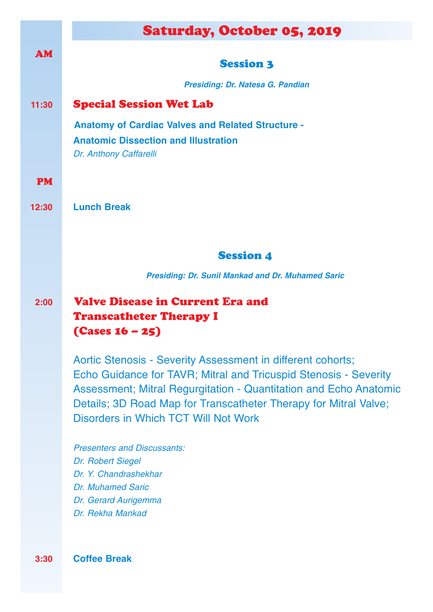|           | <b>Saturday, October 05, 2019</b>                                                                        |
|-----------|----------------------------------------------------------------------------------------------------------|
|           |                                                                                                          |
| <b>AM</b> | <b>Session 3</b>                                                                                         |
|           | Presiding: Dr. Natesa G. Pandian                                                                         |
| 11:30     | <b>Special Session Wet Lab</b>                                                                           |
|           | <b>Anatomy of Cardiac Valves and Related Structure -</b>                                                 |
|           | <b>Anatomic Dissection and Illustration</b>                                                              |
|           | Dr. Anthony Caffarelli                                                                                   |
| <b>PM</b> |                                                                                                          |
| 12:30     | <b>Lunch Break</b>                                                                                       |
|           |                                                                                                          |
|           |                                                                                                          |
|           | <b>Session 4</b>                                                                                         |
|           | <b>Presiding: Dr. Sunil Mankad and Dr. Muhamed Saric</b>                                                 |
| 2:00      | <b>Valve Disease in Current Era and</b>                                                                  |
|           | <b>Transcatheter Therapy I</b>                                                                           |
|           | $(Cases 16 - 25)$                                                                                        |
|           | Aortic Stenosis - Severity Assessment in different cohorts;                                              |
|           | Echo Guidance for TAVR; Mitral and Tricuspid Stenosis - Severity                                         |
|           | Assessment; Mitral Regurgitation - Quantitation and Echo Anatomic                                        |
|           | Details; 3D Road Map for Transcatheter Therapy for Mitral Valve;<br>Disorders in Which TCT Will Not Work |
|           |                                                                                                          |
|           | <b>Presenters and Discussants:</b>                                                                       |
|           | Dr. Robert Siegel<br>Dr. Y. Chandrashekhar                                                               |
|           | <b>Dr. Muhamed Saric</b>                                                                                 |
|           | Dr. Gerard Aurigemma                                                                                     |
|           | Dr. Rekha Mankad                                                                                         |
|           |                                                                                                          |

**3:30 Coffee Break**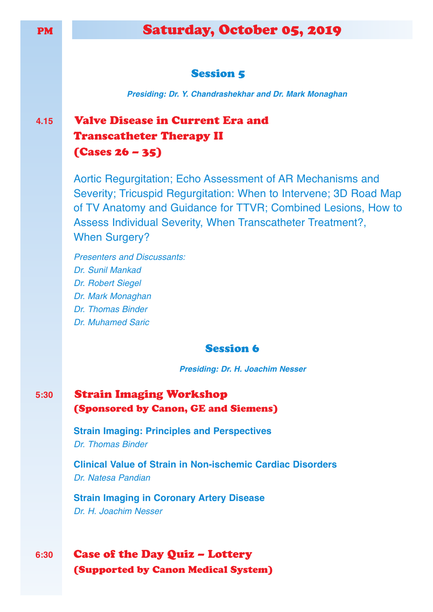# Saturday, October 05, 2019

#### **Session 5**

*Presiding: Dr. Y. Chandrashekhar and Dr. Mark Monaghan*

# **4.15** Valve Disease in Current Era and Transcatheter Therapy II (Cases 26 – 35)

Aortic Regurgitation; Echo Assessment of AR Mechanisms and Severity; Tricuspid Regurgitation: When to Intervene; 3D Road Map of TV Anatomy and Guidance for TTVR; Combined Lesions, How to Assess Individual Severity, When Transcatheter Treatment?, When Surgery?

*Presenters and Discussants: Dr. Sunil Mankad Dr. Robert Siegel Dr. Mark Monaghan Dr. Thomas Binder Dr. Muhamed Saric*

#### Session 6

*Presiding: Dr. H. Joachim Nesser*

## **5:30** Strain Imaging Workshop (Sponsored by Canon, GE and Siemens)

**Strain Imaging: Principles and Perspectives** *Dr. Thomas Binder*

**Clinical Value of Strain in Non-ischemic Cardiac Disorders** *Dr. Natesa Pandian*

**Strain Imaging in Coronary Artery Disease** *Dr. H. Joachim Nesser*

## **6:30** Case of the Day Quiz – Lottery (Supported by Canon Medical System)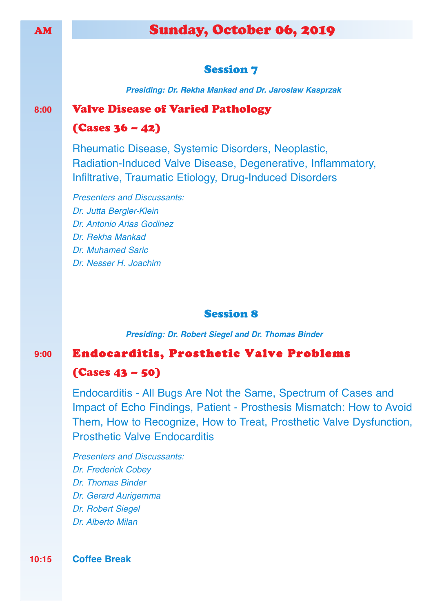# AM Sunday, October 06, 2019

#### **Session 7**

*Presiding: Dr. Rekha Mankad and Dr. Jaroslaw Kasprzak*

#### **8:00** Valve Disease of Varied Pathology

#### $(Cases 36 - 42)$

Rheumatic Disease, Systemic Disorders, Neoplastic, Radiation-Induced Valve Disease, Degenerative, Inflammatory, Infiltrative, Traumatic Etiology, Drug-Induced Disorders

*Presenters and Discussants: Dr. Jutta Bergler-Klein Dr. Antonio Arias Godinez Dr. Rekha Mankad Dr. Muhamed Saric Dr. Nesser H. Joachim*

#### Session 8

*Presiding: Dr. Robert Siegel and Dr. Thomas Binder*

### **9:00** Endocarditis, Prosthetic Valve Problems

#### (Cases 43 – 50)

Endocarditis - All Bugs Are Not the Same, Spectrum of Cases and Impact of Echo Findings, Patient - Prosthesis Mismatch: How to Avoid Them, How to Recognize, How to Treat, Prosthetic Valve Dysfunction, Prosthetic Valve Endocarditis

*Presenters and Discussants: Dr. Frederick Cobey Dr. Thomas Binder Dr. Gerard Aurigemma Dr. Robert Siegel Dr. Alberto Milan*

**10:15 Coffee Break**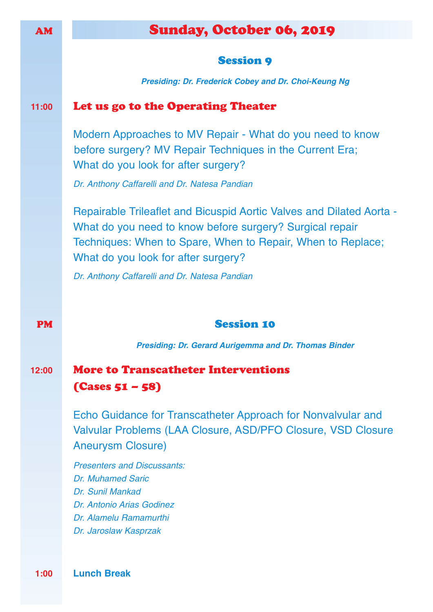# AM Sunday, October 06, 2019

#### **Session 9**

*Presiding: Dr. Frederick Cobey and Dr. Choi-Keung Ng*

#### **11:00** Let us go to the Operating Theater

Modern Approaches to MV Repair - What do you need to know before surgery? MV Repair Techniques in the Current Era; What do you look for after surgery?

*Dr. Anthony Caffarelli and Dr. Natesa Pandian*

Repairable Trileaflet and Bicuspid Aortic Valves and Dilated Aorta - What do you need to know before surgery? Surgical repair Techniques: When to Spare, When to Repair, When to Replace; What do you look for after surgery?

*Dr. Anthony Caffarelli and Dr. Natesa Pandian*

#### **PM** Session 10

*Presiding: Dr. Gerard Aurigemma and Dr. Thomas Binder*

## **12:00** More to Transcatheter Interventions (Cases 51 – 58)

Echo Guidance for Transcatheter Approach for Nonvalvular and Valvular Problems (LAA Closure, ASD/PFO Closure, VSD Closure Aneurysm Closure)

*Presenters and Discussants: Dr. Muhamed Saric Dr. Sunil Mankad Dr. Antonio Arias Godinez Dr. Alamelu Ramamurthi Dr. Jaroslaw Kasprzak*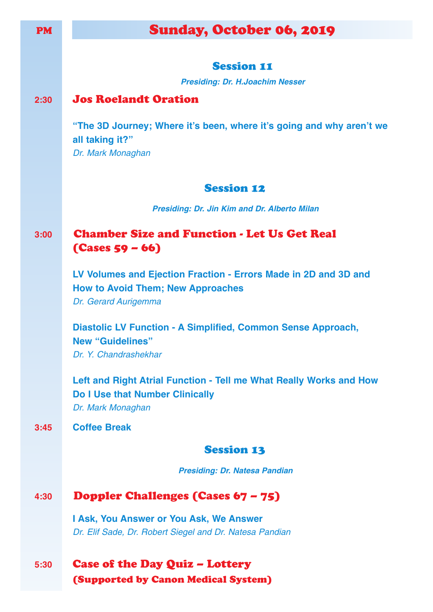| <b>PM</b> | Sunday, October 06, 2019                                                                                                            |
|-----------|-------------------------------------------------------------------------------------------------------------------------------------|
|           |                                                                                                                                     |
|           | <b>Session 11</b>                                                                                                                   |
|           | <b>Presiding: Dr. H.Joachim Nesser</b>                                                                                              |
| 2:30      | <b>Jos Roelandt Oration</b>                                                                                                         |
|           | "The 3D Journey; Where it's been, where it's going and why aren't we<br>all taking it?"<br>Dr. Mark Monaghan                        |
|           | <b>Session 12</b>                                                                                                                   |
|           | <b>Presiding: Dr. Jin Kim and Dr. Alberto Milan</b>                                                                                 |
| 3:00      | <b>Chamber Size and Function - Let Us Get Real</b><br>$(Cases 59 - 66)$                                                             |
|           | LV Volumes and Ejection Fraction - Errors Made in 2D and 3D and<br><b>How to Avoid Them; New Approaches</b><br>Dr. Gerard Aurigemma |
|           | <b>Diastolic LV Function - A Simplified, Common Sense Approach,</b><br><b>New "Guidelines"</b><br>Dr. Y. Chandrashekhar             |
|           | Left and Right Atrial Function - Tell me What Really Works and How<br><b>Do I Use that Number Clinically</b><br>Dr. Mark Monaghan   |
| 3:45      | <b>Coffee Break</b>                                                                                                                 |
|           | <b>Session 13</b>                                                                                                                   |
|           | <b>Presiding: Dr. Natesa Pandian</b>                                                                                                |
| 4:30      | Doppler Challenges (Cases 67 - 75)                                                                                                  |
|           | <b>I Ask, You Answer or You Ask, We Answer</b>                                                                                      |
|           | Dr. Elif Sade, Dr. Robert Siegel and Dr. Natesa Pandian                                                                             |
| 5:30      | <b>Case of the Day Quiz - Lottery</b><br><b>(Supported by Canon Medical System)</b>                                                 |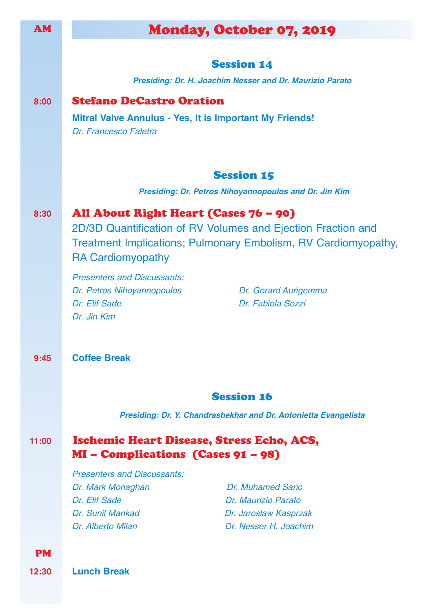| <b>AM</b> | <b>Monday, October 07, 2019</b>                                                                                                       |
|-----------|---------------------------------------------------------------------------------------------------------------------------------------|
|           |                                                                                                                                       |
|           | <b>Session 14</b>                                                                                                                     |
|           | Presiding: Dr. H. Joachim Nesser and Dr. Maurizio Parato                                                                              |
| 8:00      | <b>Stefano DeCastro Oration</b>                                                                                                       |
|           | <b>Mitral Valve Annulus - Yes, It is Important My Friends!</b>                                                                        |
|           | Dr. Francesco Faletra                                                                                                                 |
|           |                                                                                                                                       |
|           | <b>Session 15</b>                                                                                                                     |
|           | <b>Presiding: Dr. Petros Nihoyannopoulos and Dr. Jin Kim</b>                                                                          |
|           |                                                                                                                                       |
| 8:30      | All About Right Heart (Cases 76 – 90)                                                                                                 |
|           | 2D/3D Quantification of RV Volumes and Ejection Fraction and<br><b>Treatment Implications; Pulmonary Embolism, RV Cardiomyopathy,</b> |
|           | <b>RA Cardiomyopathy</b>                                                                                                              |
|           | <b>Presenters and Discussants:</b>                                                                                                    |
|           | Dr. Petros Nihoyannopoulos<br>Dr. Gerard Aurigemma                                                                                    |
|           | Dr. Elif Sade<br>Dr. Fabiola Sozzi                                                                                                    |
|           | Dr. Jin Kim                                                                                                                           |
|           |                                                                                                                                       |
| 9:45      | <b>Coffee Break</b>                                                                                                                   |
|           |                                                                                                                                       |
|           |                                                                                                                                       |
|           | <b>Session 16</b>                                                                                                                     |
|           | Presiding: Dr. Y. Chandrashekhar and Dr. Antonietta Evangelista                                                                       |
| 11:00     | Ischemic Heart Disease, Stress Echo, ACS,                                                                                             |
|           | MI – Complications (Cases 91 – 98)                                                                                                    |
|           | <b>Presenters and Discussants:</b>                                                                                                    |
|           | <b>Dr. Muhamed Saric</b><br>Dr. Mark Monaghan                                                                                         |
|           | Dr. Elif Sade<br>Dr. Maurizio Parato                                                                                                  |
|           | Dr. Sunil Mankad<br>Dr. Jaroslaw Kasprzak<br>Dr. Nesser H. Joachim<br>Dr. Alberto Milan                                               |
|           |                                                                                                                                       |
| <b>PM</b> |                                                                                                                                       |
| 12:30     | <b>Lunch Break</b>                                                                                                                    |
|           |                                                                                                                                       |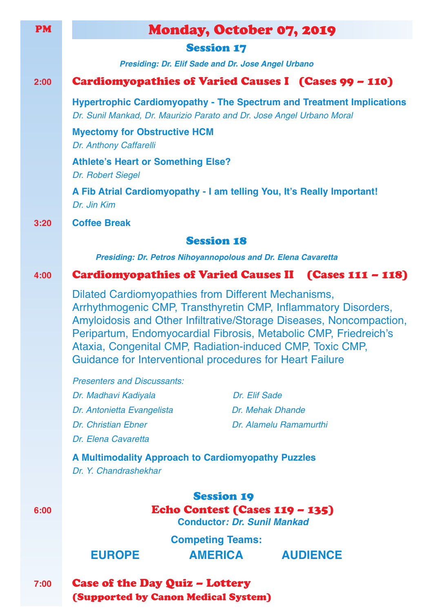| <b>PM</b> | <b>Monday, October 07, 2019</b>                                                                                                                                                                                                                                                                                                                                                                         |
|-----------|---------------------------------------------------------------------------------------------------------------------------------------------------------------------------------------------------------------------------------------------------------------------------------------------------------------------------------------------------------------------------------------------------------|
|           | <b>Session 17</b>                                                                                                                                                                                                                                                                                                                                                                                       |
|           | <b>Presiding: Dr. Elif Sade and Dr. Jose Angel Urbano</b>                                                                                                                                                                                                                                                                                                                                               |
| 2:00      | Cardiomyopathies of Varied Causes I (Cases 99 - 110)                                                                                                                                                                                                                                                                                                                                                    |
|           | <b>Hypertrophic Cardiomyopathy - The Spectrum and Treatment Implications</b><br>Dr. Sunil Mankad, Dr. Maurizio Parato and Dr. Jose Angel Urbano Moral                                                                                                                                                                                                                                                   |
|           | <b>Myectomy for Obstructive HCM</b><br>Dr. Anthony Caffarelli                                                                                                                                                                                                                                                                                                                                           |
|           | <b>Athlete's Heart or Something Else?</b><br>Dr. Robert Siegel                                                                                                                                                                                                                                                                                                                                          |
|           | A Fib Atrial Cardiomyopathy - I am telling You, It's Really Important!<br>Dr. Jin Kim                                                                                                                                                                                                                                                                                                                   |
| 3:20      | <b>Coffee Break</b>                                                                                                                                                                                                                                                                                                                                                                                     |
|           | <b>Session 18</b>                                                                                                                                                                                                                                                                                                                                                                                       |
|           | <b>Presiding: Dr. Petros Nihoyannopolous and Dr. Elena Cavaretta</b>                                                                                                                                                                                                                                                                                                                                    |
| 4:00      | Cardiomyopathies of Varied Causes II (Cases 111 - 118)                                                                                                                                                                                                                                                                                                                                                  |
|           | <b>Dilated Cardiomyopathies from Different Mechanisms,</b><br>Arrhythmogenic CMP, Transthyretin CMP, Inflammatory Disorders,<br>Amyloidosis and Other Infiltrative/Storage Diseases, Noncompaction,<br>Peripartum, Endomyocardial Fibrosis, Metabolic CMP, Friedreich's<br>Ataxia, Congenital CMP, Radiation-induced CMP, Toxic CMP,<br><b>Guidance for Interventional procedures for Heart Failure</b> |
|           | <b>Presenters and Discussants:</b>                                                                                                                                                                                                                                                                                                                                                                      |
|           | Dr. Madhavi Kadiyala<br>Dr. Elif Sade                                                                                                                                                                                                                                                                                                                                                                   |
|           | Dr. Mehak Dhande<br>Dr. Antonietta Evangelista<br>Dr. Christian Ebner<br>Dr. Alamelu Ramamurthi                                                                                                                                                                                                                                                                                                         |
|           | Dr. Elena Cavaretta                                                                                                                                                                                                                                                                                                                                                                                     |
|           | A Multimodality Approach to Cardiomyopathy Puzzles                                                                                                                                                                                                                                                                                                                                                      |
|           | Dr. Y. Chandrashekhar                                                                                                                                                                                                                                                                                                                                                                                   |
| 6:00      | <b>Session 19</b><br><b>Echo Contest (Cases 119 - 135)</b><br><b>Conductor: Dr. Sunil Mankad</b>                                                                                                                                                                                                                                                                                                        |
|           | <b>Competing Teams:</b>                                                                                                                                                                                                                                                                                                                                                                                 |
|           | <b>EUROPE</b><br>AMERICA AUDIENCE                                                                                                                                                                                                                                                                                                                                                                       |
| 7:00      | <b>Case of the Day Quiz - Lottery</b><br><b>(Supported by Canon Medical System)</b>                                                                                                                                                                                                                                                                                                                     |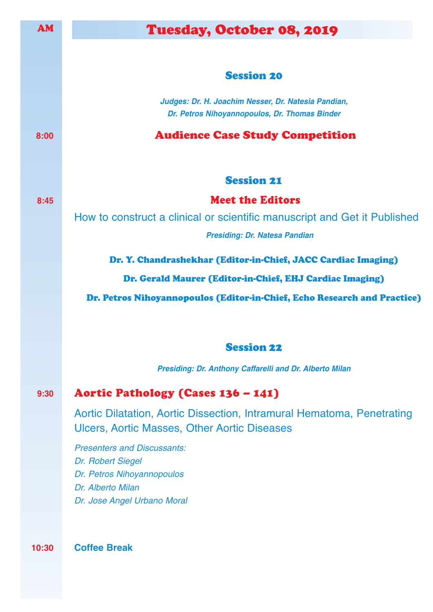| Tuesday, October 08, 2019                                                                                                                 |
|-------------------------------------------------------------------------------------------------------------------------------------------|
|                                                                                                                                           |
| <b>Session 20</b>                                                                                                                         |
| Judges: Dr. H. Joachim Nesser, Dr. Natesia Pandian,<br>Dr. Petros Nihoyannopoulos, Dr. Thomas Binder                                      |
| <b>Audience Case Study Competition</b>                                                                                                    |
| <b>Session 21</b>                                                                                                                         |
| <b>Meet the Editors</b>                                                                                                                   |
| How to construct a clinical or scientific manuscript and Get it Published                                                                 |
| <b>Presiding: Dr. Natesa Pandian</b>                                                                                                      |
| Dr. Y. Chandrashekhar (Editor-in-Chief, JACC Cardiac Imaging)                                                                             |
| Dr. Gerald Maurer (Editor-in-Chief, EHJ Cardiac Imaging)                                                                                  |
| Dr. Petros Nihoyannopoulos (Editor-in-Chief, Echo Research and Practice)                                                                  |
| <b>Session 22</b>                                                                                                                         |
| Presiding: Dr. Anthony Caffarelli and Dr. Alberto Milan                                                                                   |
| Aortic Pathology (Cases 136 - 141)                                                                                                        |
| Aortic Dilatation, Aortic Dissection, Intramural Hematoma, Penetrating<br><b>Ulcers, Aortic Masses, Other Aortic Diseases</b>             |
| <b>Presenters and Discussants:</b><br>Dr. Robert Siegel<br>Dr. Petros Nihoyannopoulos<br>Dr. Alberto Milan<br>Dr. Jose Angel Urbano Moral |
|                                                                                                                                           |

**10:30 Coffee Break**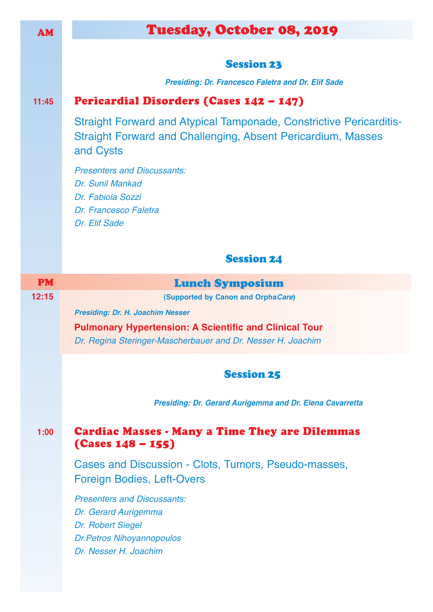| <b>AM</b> | Tuesday, October 08, 2019                                                                                                                                      |
|-----------|----------------------------------------------------------------------------------------------------------------------------------------------------------------|
|           |                                                                                                                                                                |
|           | <b>Session 23</b>                                                                                                                                              |
|           | <b>Presiding: Dr. Francesco Faletra and Dr. Elif Sade</b>                                                                                                      |
| 11:45     | Pericardial Disorders (Cases 142 - 147)                                                                                                                        |
|           | <b>Straight Forward and Atypical Tamponade, Constrictive Pericarditis-</b><br><b>Straight Forward and Challenging, Absent Pericardium, Masses</b><br>and Cysts |
|           | <b>Presenters and Discussants:</b><br>Dr. Sunil Mankad<br>Dr. Fabiola Sozzi<br>Dr. Francesco Faletra<br>Dr. Elif Sade                                          |
|           | <b>Session 24</b>                                                                                                                                              |
| <b>PM</b> | <b>Lunch Symposium</b>                                                                                                                                         |
|           |                                                                                                                                                                |
| 12:15     | (Supported by Canon and OrphaCare)                                                                                                                             |
|           | <b>Presiding: Dr. H. Joachim Nesser</b>                                                                                                                        |
|           | <b>Pulmonary Hypertension: A Scientific and Clinical Tour</b><br>Dr. Regina Steringer-Mascherbauer and Dr. Nesser H. Joachim                                   |
|           | <b>Session 25</b>                                                                                                                                              |
|           | Presiding: Dr. Gerard Aurigemma and Dr. Elena Cavarretta                                                                                                       |
| 1:00      | <b>Cardiac Masses - Many a Time They are Dilemmas</b><br>$(Cases 148 - 155)$                                                                                   |
|           | Cases and Discussion - Clots, Tumors, Pseudo-masses,<br>Foreign Bodies, Left-Overs                                                                             |
|           | <b>Presenters and Discussants:</b>                                                                                                                             |
|           | Dr. Gerard Aurigemma                                                                                                                                           |
|           | Dr. Robert Siegel<br><b>Dr.Petros Nihoyannopoulos</b>                                                                                                          |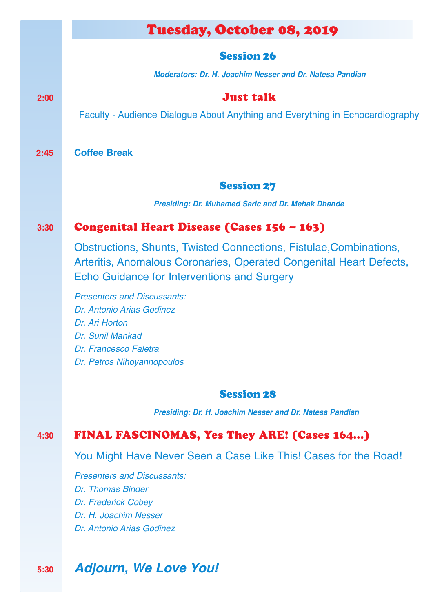# Tuesday, October 08, 2019

#### Session 26

*Moderators: Dr. H. Joachim Nesser and Dr. Natesa Pandian*

## **2:00** Just talk

Faculty - Audience Dialogue About Anything and Everything in Echocardiography

**2:45 Coffee Break**

#### Session 27

*Presiding: Dr. Muhamed Saric and Dr. Mehak Dhande*

### **3:30** Congenital Heart Disease (Cases 156 – 163)

Obstructions, Shunts, Twisted Connections, Fistulae,Combinations, Arteritis, Anomalous Coronaries, Operated Congenital Heart Defects, Echo Guidance for Interventions and Surgery

*Presenters and Discussants: Dr. Antonio Arias Godinez Dr. Ari Horton Dr. Sunil Mankad Dr. Francesco Faletra Dr. Petros Nihoyannopoulos*

#### Session 28

*Presiding: Dr. H. Joachim Nesser and Dr. Natesa Pandian*

## **4:30** FINAL FASCINOMAS, Yes They ARE! (Cases 164...)

You Might Have Never Seen a Case Like This! Cases for the Road!

*Presenters and Discussants: Dr. Thomas Binder Dr. Frederick Cobey Dr. H. Joachim Nesser Dr. Antonio Arias Godinez*

# **5:30** *Adjourn, We Love You!*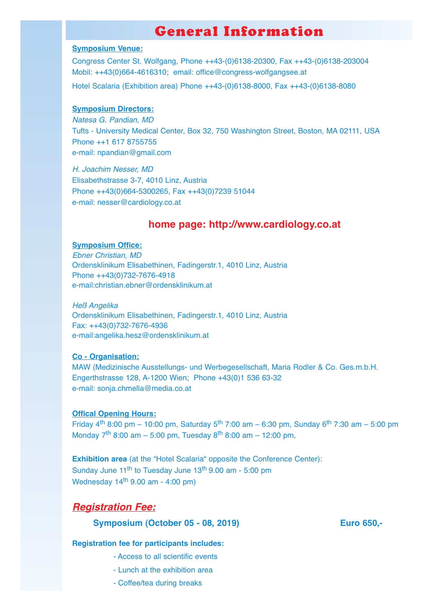# General Information

#### **Symposium Venue:**

Congress Center St. Wolfgang, Phone ++43-(0)6138-20300, Fax ++43-(0)6138-203004 Mobil: ++43(0)664-4616310; email: office@congress-wolfgangsee.at

Hotel Scalaria (Exhibition area) Phone ++43-(0)6138-8000, Fax ++43-(0)6138-8080

#### **Symposium Directors:**

*Natesa G. Pandian, MD* Tufts - University Medical Center, Box 32, 750 Washington Street, Boston, MA 02111, USA Phone ++1 617 8755755 e-mail: npandian@gmail.com

*H. Joachim Nesser, MD* Elisabethstrasse 3-7, 4010 Linz, Austria Phone ++43(0)664-5300265, Fax ++43(0)7239 51044 e-mail: nesser@cardiology.co.at

#### **home page: http://www.cardiology.co.at**

#### **Symposium Office:**

*Ebner Christian, MD* Ordensklinikum Elisabethinen, Fadingerstr.1, 4010 Linz, Austria Phone ++43(0)732-7676-4918 e-mail:christian.ebner@ordensklinikum.at

*Heß Angelika* Ordensklinikum Elisabethinen, Fadingerstr.1, 4010 Linz, Austria Fax: ++43(0)732-7676-4936 e-mail:angelika.hesz@ordensklinikum.at

#### **Co - Organisation:**

MAW (Medizinische Ausstellungs- und Werbegesellschaft, Maria Rodler & Co. Ges.m.b.H. Engerthstrasse 128, A-1200 Wien; Phone +43(0)1 536 63-32 e-mail: sonja.chmella@media.co.at

#### **Offical Opening Hours:**

Friday  $4^{th}$  8:00 pm – 10:00 pm, Saturday 5<sup>th</sup> 7:00 am – 6:30 pm, Sunday 6<sup>th</sup> 7:30 am – 5:00 pm Monday  $7^{th}$  8:00 am – 5:00 pm, Tuesday  $8^{th}$  8:00 am – 12:00 pm,

**Exhibition area** (at the "Hotel Scalaria" opposite the Conference Center): Sunday June 11<sup>th</sup> to Tuesday June 13<sup>th</sup> 9.00 am - 5:00 pm Wednesday 14th 9.00 am - 4:00 pm)

#### *Registration Fee:*

#### **Symposium (October 05 - 08, 2019) Euro 650,-**

#### **Registration fee for participants includes:**

- Access to all scientific events
- Lunch at the exhibition area
- Coffee/tea during breaks